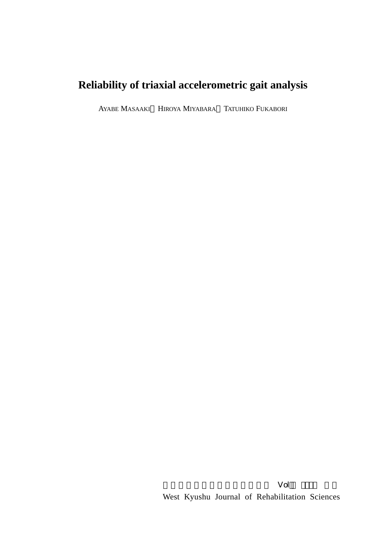# **Reliability of triaxial accelerometric gait analysis**

AYABE MASAAKI HIROYA MIYABARA TATUHIKO FUKABORI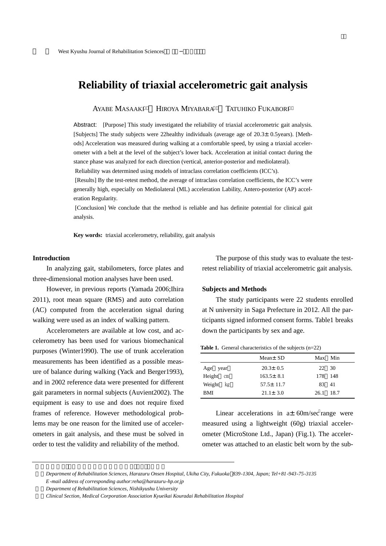## **Reliability of triaxial accelerometric gait analysis**

AYABE MASAAKI HIROYA MIYABARA TATUHIKO FUKABORI

Abstract: [Purpose] This study investigated the reliability of triaxial accelerometric gait analysis. [Subjects] The study subjects were 22healthy individuals (average age of 20.3±0.5years). [Methods] Acceleration was measured during walking at a comfortable speed, by using a triaxial accelerometer with a belt at the level of the subject's lower back. Acceleration at initial contact during the stance phase was analyzed for each direction (vertical, anterior-posterior and mediolateral).

Reliability was determined using models of intraclass correlation coefficients (ICC's).

[Results] By the test-retest method, the average of intraclass correlation coefficients, the ICC's were generally high, especially on Mediolateral (ML) acceleration Lability, Antero-posterior (AP) acceleration Regularity.

[Conclusion] We conclude that the method is reliable and has definite potential for clinical gait analysis.

**Key words:** triaxial accelerometry, reliability, gait analysis

#### **Introduction**

In analyzing gait, stabilometers, force plates and three-dimensional motion analyses have been used.

However, in previous reports (Yamada 2006;Ihira 2011), root mean square (RMS) and auto correlation (AC) computed from the acceleration signal during walking were used as an index of walking pattern.

Accelerometers are available at low cost, and accelerometry has been used for various biomechanical purposes (Winter1990). The use of trunk acceleration measurements has been identified as a possible measure of balance during walking (Yack and Berger1993), and in 2002 reference data were presented for different gait parameters in normal subjects (Auvient2002). The equipment is easy to use and does not require fixed frames of reference. However methodological problems may be one reason for the limited use of accelerometers in gait analysis, and these must be solved in order to test the validity and reliability of the method.

The purpose of this study was to evaluate the testretest reliability of triaxial accelerometric gait analysis.

### **Subjects and Methods**

The study participants were 22 students enrolled at N university in Saga Prefecture in 2012. All the participants signed informed consent forms. Table1 breaks down the participants by sex and age.

**Table 1.** General characteristics of the subjects (n=22)

|            | Mean $\pm$ SD   | Max Min   |  |
|------------|-----------------|-----------|--|
| Age year   | $20.3 \pm 0.5$  | 22 30     |  |
| Height cm  | $163.5 \pm 8.1$ | 178 148   |  |
| Weight kg  | $57.5 \pm 11.7$ | 83 41     |  |
| <b>BMI</b> | $21.1 \pm 3.0$  | 26.1 18.7 |  |

Linear accelerations in  $a \pm 60$ m/sec range were measured using a lightweight (60g) triaxial accelerometer (MicroStone Ltd., Japan) (Fig.1). The accelerometer was attached to an elastic belt worn by the sub-

1)*Department of Rehabilitation Sciences, Harazuru Onsen Hospital, Ukiha City, Fukuoka 839*-*1304, Japan; Tel+81*-*943*-*75*-*3135*

*E* -*mail address of corresponding author:reha@harazuru*-*hp.or.jp*

2)*Department of Rehabilitation Sciences, Nishikyushu University*

<sup>3)</sup>*Clinical Section, Medical Corporation Association Kyueikai Kouradai Rehabilitation Hospital*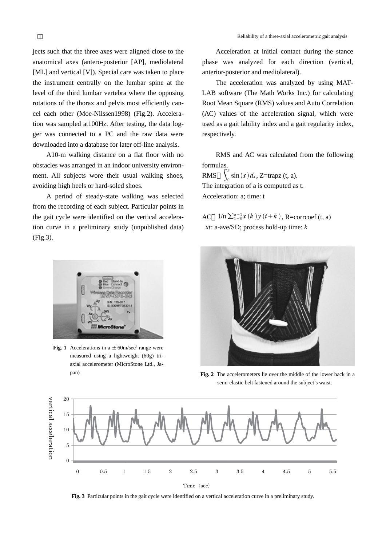jects such that the three axes were aligned close to the anatomical axes (antero-posterior [AP], mediolateral [ML] and vertical [V]). Special care was taken to place the instrument centrally on the lumbar spine at the level of the third lumbar vertebra where the opposing rotations of the thorax and pelvis most efficiently cancel each other (Moe-Nilssen1998) (Fig.2). Acceleration was sampled at100Hz. After testing, the data logger was connected to a PC and the raw data were downloaded into a database for later off-line analysis.

A10-m walking distance on a flat floor with no obstacles was arranged in an indoor university environment. All subjects wore their usual walking shoes, avoiding high heels or hard-soled shoes.

A period of steady-state walking was selected from the recording of each subject. Particular points in the gait cycle were identified on the vertical acceleration curve in a preliminary study (unpublished data) (Fig.3).



**Fig. 1** Accelerations in a  $\pm$  60m/sec range were measured using a lightweight (60g) triaxial accelerometer (MicroStone Ltd., Ja-

Acceleration at initial contact during the stance phase was analyzed for each direction (vertical, anterior-posterior and mediolateral).

The acceleration was analyzed by using MAT-LAB software (The Math Works Inc.) for calculating Root Mean Square (RMS) values and Auto Correlation (AC) values of the acceleration signal, which were used as a gait lability index and a gait regularity index, respectively.

RMS and AC was calculated from the following formulas.

 $RMS$  $\overline{0}$  $\int_{0}^{\pi}$  sin  $(x) dx$ , Z=trapz (t, a). The integration of a is computed as t. Acceleration: a; time: t

AC  $1/n \sum_{1}^{n-1} x(k) y(t+k)$ , R=corrcoef (t, a) *xt*: a-ave/SD; process hold-up time: *k*



pan) **Fig. 2** The accelerometers lie over the middle of the lower back in a semi-elastic belt fastened around the subject's waist.



**Fig. 3** Particular points in the gait cycle were identified on a vertical acceleration curve in a preliminary study.